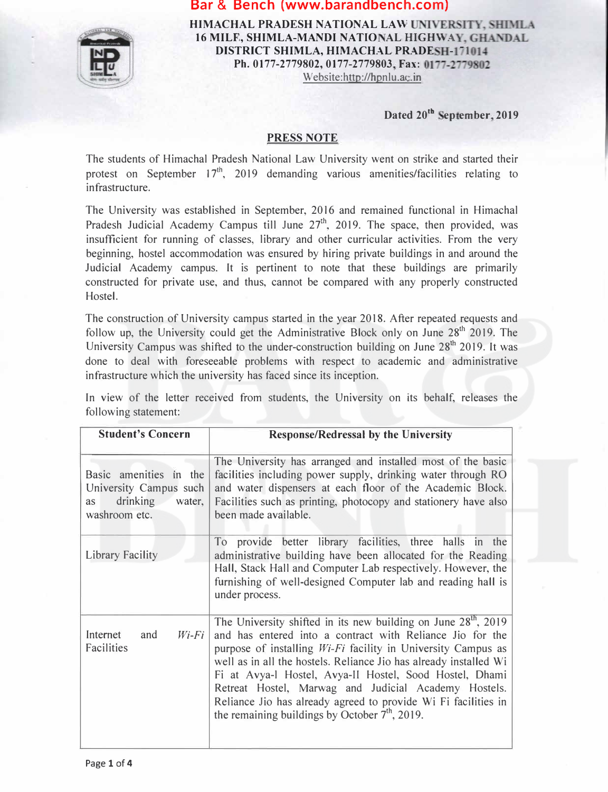

**HIMACHAL PRADESH NATIONAL LAW UNIVERSITY, SHIMLA** 16 MILF, SHIMLA-MANDI NATIONAL HIGHWAY, GHANDAL **DISTRICT SHIMLA, HIMACHAL PRADESH-171014** Ph. 0177-2779802, 0177-2779803, Fax: 0177-2779802 Website:http://hpnlu.ac.in

Dated 20<sup>th</sup> September, 2019

#### **PRESS NOTE**

The students of Himachal Pradesh National Law University went on strike and started their protest on September  $17<sup>th</sup>$ , 2019 demanding various amenities/facilities relating to infrastructure.

The University was established in September, 2016 and remained functional in Himachal Pradesh Judicial Academy Campus till June 27<sup>th</sup>, 2019. The space, then provided, was insufficient for running of classes, library and other curricular activities. From the very beginning, hostel accommodation was ensured by hiring private buildings in and around the Judicial Academy campus. It is pertinent to note that these buildings are primarily constructed for private use, and thus, cannot be compared with any properly constructed Hostel.

The construction of University campus started in the year 2018. After repeated requests and follow up, the University could get the Administrative Block only on June  $28<sup>th</sup>$  2019. The University Campus was shifted to the under-construction building on June  $28<sup>th</sup>$  2019. It was done to deal with foreseeable problems with respect to academic and administrative infrastructure which the university has faced since its inception.

In view of the letter received from students, the University on its behalf, releases the following statement:

| <b>Student's Concern</b>                                                                      | <b>Response/Redressal by the University</b>                                                                                                                                                                                                                                                                                                                                                                                                                                                                        |
|-----------------------------------------------------------------------------------------------|--------------------------------------------------------------------------------------------------------------------------------------------------------------------------------------------------------------------------------------------------------------------------------------------------------------------------------------------------------------------------------------------------------------------------------------------------------------------------------------------------------------------|
| Basic amenities in the<br>University Campus such<br>drinking<br>water,<br>as<br>washroom etc. | The University has arranged and installed most of the basic<br>facilities including power supply, drinking water through RO<br>and water dispensers at each floor of the Academic Block.<br>Facilities such as printing, photocopy and stationery have also<br>been made available.                                                                                                                                                                                                                                |
| <b>Library Facility</b>                                                                       | To provide better library facilities, three halls in the<br>administrative building have been allocated for the Reading<br>Hall, Stack Hall and Computer Lab respectively. However, the<br>furnishing of well-designed Computer lab and reading hall is<br>under process.                                                                                                                                                                                                                                          |
| Internet<br>$Wi$ -Fi<br>and<br>Facilities                                                     | The University shifted in its new building on June $28th$ , 2019<br>and has entered into a contract with Reliance Jio for the<br>purpose of installing <i>Wi-Fi</i> facility in University Campus as<br>well as in all the hostels. Reliance Jio has already installed Wi<br>Fi at Avya-l Hostel, Avya-II Hostel, Sood Hostel, Dhami<br>Retreat Hostel, Marwag and Judicial Academy Hostels.<br>Reliance Jio has already agreed to provide Wi Fi facilities in<br>the remaining buildings by October $7th$ , 2019. |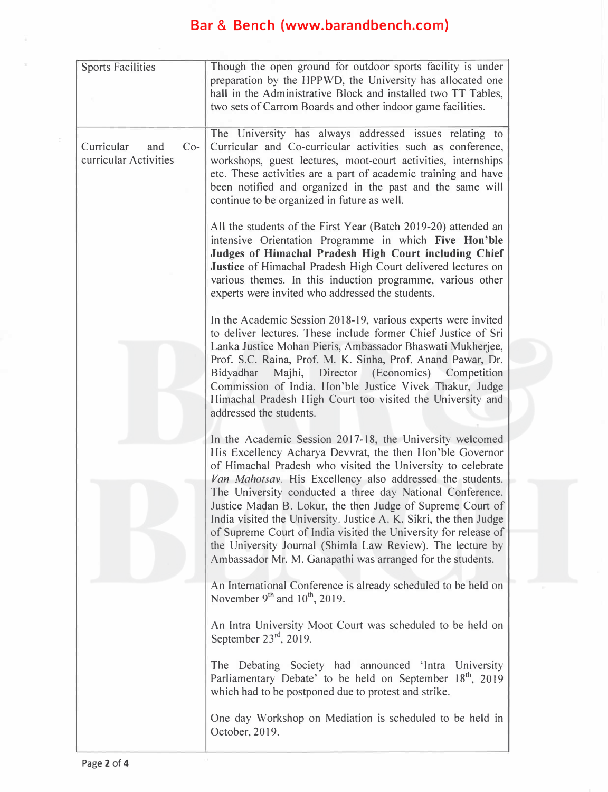| <b>Sports Facilities</b>                            | Though the open ground for outdoor sports facility is under<br>preparation by the HPPWD, the University has allocated one<br>hall in the Administrative Block and installed two TT Tables,                                                                                                                                                                                                  |
|-----------------------------------------------------|---------------------------------------------------------------------------------------------------------------------------------------------------------------------------------------------------------------------------------------------------------------------------------------------------------------------------------------------------------------------------------------------|
|                                                     | two sets of Carrom Boards and other indoor game facilities.                                                                                                                                                                                                                                                                                                                                 |
| Curricular<br>$Co-$<br>and<br>curricular Activities | The University has always addressed issues relating to<br>Curricular and Co-curricular activities such as conference,<br>workshops, guest lectures, moot-court activities, internships<br>etc. These activities are a part of academic training and have<br>been notified and organized in the past and the same will<br>continue to be organized in future as well.                        |
|                                                     | All the students of the First Year (Batch 2019-20) attended an<br>intensive Orientation Programme in which Five Hon'ble<br>Judges of Himachal Pradesh High Court including Chief<br>Justice of Himachal Pradesh High Court delivered lectures on<br>various themes. In this induction programme, various other<br>experts were invited who addressed the students.                          |
|                                                     | In the Academic Session 2018-19, various experts were invited<br>to deliver lectures. These include former Chief Justice of Sri<br>Lanka Justice Mohan Pieris, Ambassador Bhaswati Mukherjee,<br>Prof. S.C. Raina, Prof. M. K. Sinha, Prof. Anand Pawar, Dr.                                                                                                                                |
|                                                     | Bidyadhar Majhi, Director (Economics) Competition<br>Commission of India. Hon'ble Justice Vivek Thakur, Judge<br>Himachal Pradesh High Court too visited the University and<br>addressed the students.                                                                                                                                                                                      |
|                                                     | In the Academic Session 2017-18, the University welcomed<br>His Excellency Acharya Devvrat, the then Hon'ble Governor<br>of Himachal Pradesh who visited the University to celebrate<br>Van Mahotsav. His Excellency also addressed the students.                                                                                                                                           |
|                                                     | The University conducted a three day National Conference.<br>Justice Madan B. Lokur, the then Judge of Supreme Court of<br>India visited the University. Justice A. K. Sikri, the then Judge<br>of Supreme Court of India visited the University for release of<br>the University Journal (Shimla Law Review). The lecture by<br>Ambassador Mr. M. Ganapathi was arranged for the students. |
|                                                     | An International Conference is already scheduled to be held on<br>November $9th$ and $10th$ , 2019.                                                                                                                                                                                                                                                                                         |
|                                                     | An Intra University Moot Court was scheduled to be held on<br>September $23^{rd}$ , 2019.                                                                                                                                                                                                                                                                                                   |
|                                                     | The Debating Society had announced 'Intra University<br>Parliamentary Debate' to be held on September 18 <sup>th</sup> , 2019<br>which had to be postponed due to protest and strike.                                                                                                                                                                                                       |
|                                                     | One day Workshop on Mediation is scheduled to be held in<br>October, 2019.                                                                                                                                                                                                                                                                                                                  |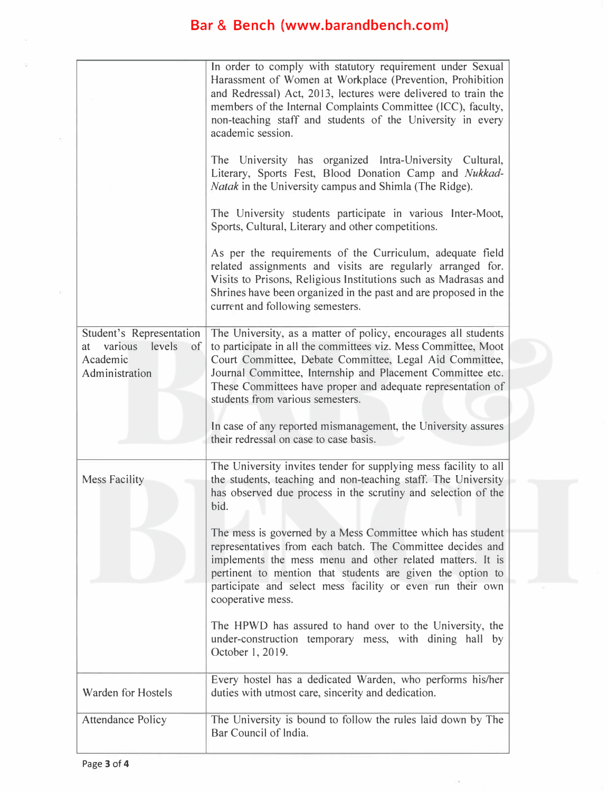|                                                                                         | In order to comply with statutory requirement under Sexual<br>Harassment of Women at Workplace (Prevention, Prohibition<br>and Redressal) Act, 2013, lectures were delivered to train the<br>members of the Internal Complaints Committee (ICC), faculty,<br>non-teaching staff and students of the University in every<br>academic session.<br>The University has organized Intra-University Cultural,<br>Literary, Sports Fest, Blood Donation Camp and Nukkad-<br>Natak in the University campus and Shimla (The Ridge).<br>The University students participate in various Inter-Moot,<br>Sports, Cultural, Literary and other competitions.<br>As per the requirements of the Curriculum, adequate field<br>related assignments and visits are regularly arranged for.<br>Visits to Prisons, Religious Institutions such as Madrasas and<br>Shrines have been organized in the past and are proposed in the<br>current and following semesters. |
|-----------------------------------------------------------------------------------------|-----------------------------------------------------------------------------------------------------------------------------------------------------------------------------------------------------------------------------------------------------------------------------------------------------------------------------------------------------------------------------------------------------------------------------------------------------------------------------------------------------------------------------------------------------------------------------------------------------------------------------------------------------------------------------------------------------------------------------------------------------------------------------------------------------------------------------------------------------------------------------------------------------------------------------------------------------|
| Student's Representation<br>various<br>levels<br>at<br>of<br>Academic<br>Administration | The University, as a matter of policy, encourages all students<br>to participate in all the committees viz. Mess Committee, Moot<br>Court Committee, Debate Committee, Legal Aid Committee,<br>Journal Committee, Internship and Placement Committee etc.<br>These Committees have proper and adequate representation of<br>students from various semesters.<br>In case of any reported mismanagement, the University assures<br>their redressal on case to case basis.                                                                                                                                                                                                                                                                                                                                                                                                                                                                             |
| <b>Mess Facility</b>                                                                    | The University invites tender for supplying mess facility to all<br>the students, teaching and non-teaching staff. The University<br>has observed due process in the scrutiny and selection of the<br>bid.<br>The mess is governed by a Mess Committee which has student<br>representatives from each batch. The Committee decides and<br>implements the mess menu and other related matters. It is<br>pertinent to mention that students are given the option to<br>participate and select mess facility or even run their own<br>cooperative mess.<br>The HPWD has assured to hand over to the University, the<br>under-construction temporary mess, with dining hall by<br>October 1, 2019.                                                                                                                                                                                                                                                      |
| Warden for Hostels                                                                      | Every hostel has a dedicated Warden, who performs his/her<br>duties with utmost care, sincerity and dedication.                                                                                                                                                                                                                                                                                                                                                                                                                                                                                                                                                                                                                                                                                                                                                                                                                                     |
| <b>Attendance Policy</b>                                                                | The University is bound to follow the rules laid down by The<br>Bar Council of India.                                                                                                                                                                                                                                                                                                                                                                                                                                                                                                                                                                                                                                                                                                                                                                                                                                                               |

ā.